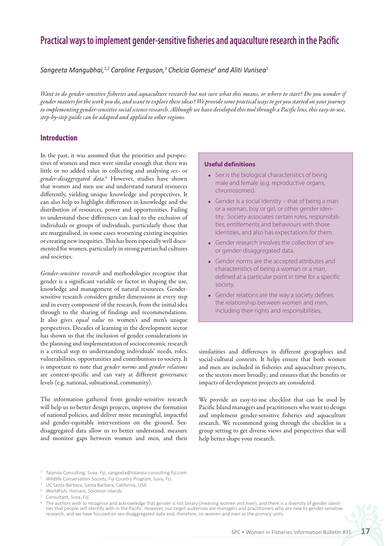# **Practical ways to implement gender-sensitive fisheries and aquaculture research in the Pacific**

*Sangeeta Mangubhai,1,2 Caroline Ferguson,3 Chelcia Gomese4 and Aliti Vunisea5*

*Want to do gender-sensitive fisheries and aquaculture research but not sure what this means, or where to start? Do you wonder if gender matters for the work you do, and want to explore these ideas? We provide some practical ways to get you started on your journey to implementing gender-sensitive social science research. Although we have developed this tool through a Pacific lens, this easy-to-use, step-by-step guide can be adapted and applied to other regions.* 

### **Introduction**

In the past, it was assumed that the priorities and perspectives of women and men were similar enough that there was little or no added value in collecting and analysing *sex-* or *gender-disaggregated data*. 6 However, studies have shown that women and men use and understand natural resources differently, yielding unique knowledge and perspectives. It can also help to highlight differences in knowledge and the distribution of resources, power and opportunities. Failing to understand these differences can lead to the exclusion of individuals or groups of individuals, particularly those that are marginalised, in some cases worsening existing inequities or creating new inequities. This has been especially well documented for women, particularly in strong patriarchal cultures and societies.

*Gender-sensitive research* and methodologies recognise that gender is a significant variable or factor in shaping the use, knowledge and management of natural resources. Gendersensitive research considers gender dimensions at every step and in every component of the research, from the initial idea through to the sharing of findings and recommendations. It also gives *equal value* to women's and men's unique perspectives. Decades of learning in the development sector has shown us that the inclusion of gender considerations in the planning and implementation of socioeconomic research is a critical step to understanding individuals' needs, roles, vulnerabilities, opportunities and contributions to society. It is important to note that *gender norms* and *gender relations* are context-specific and can vary at different governance levels (e.g. national, subnational, community).

The information gathered from gender-sensitive research will help us to better design projects, improve the formation of national policies, and deliver more meaningful, impactful and gender-equitable interventions on the ground. Sexdisaggregated data allow us to better understand, measure and monitor gaps between women and men, and their

#### **Useful definitions**

- Sex is the biological characteristics of being male and female (e.g. reproductive organs, chromosomes).
- Gender is a social identity that of being a man or a woman, boy or girl, or other gender identity. Society associates certain roles, responsibilities, entitlements and behaviours with those identities, and also has expectations for them.
- Gender research involves the collection of sexor gender-disaggregated data.
- Gender norms are the accepted attributes and characteristics of being a woman or a man, defined at a particular point in time for a specific society.
- Gender relations are the way a society defines the relationship between women and men, including their rights and responsibilities.

similarities and differences in different geographies and social-cultural contexts. It helps ensure that both women and men are included in fisheries and aquaculture projects, or the sectors more broadly; and ensures that the benefits or impacts of development projects are considered.

We provide an easy-to-use checklist that can be used by Pacific Island managers and practitioners who want to design and implement gender-sensitive fisheries and aquaculture research. We recommend going through the checklist in a group setting to get diverse views and perspectives that will help better shape your research.

- <sup>1</sup> Talanoa Consulting, Suva, Fiji, sangeeta@talanoa-consulting-fiji.com
- <sup>2</sup> Wildlife Conservation Society, Fiji Country Program, Suva, Fiji.
- <sup>3</sup> UC Santa Barbara, Santa Barbara, California, USA
- <sup>4</sup> WorldFish, Honiara, Solomon Islands
- <sup>5</sup> Consultant, Suva, Fiji

The authors wish to recognise and acknowledge that gender is not binary (meaning women and men), and there is a diversity of gender identities that people self-identify with in the Pacific. However, our target audiences are managers and practitioners who are new to gender-sensitive research, and we have focused on sex-disaggregated data and, therefore, on women and men as the primary units.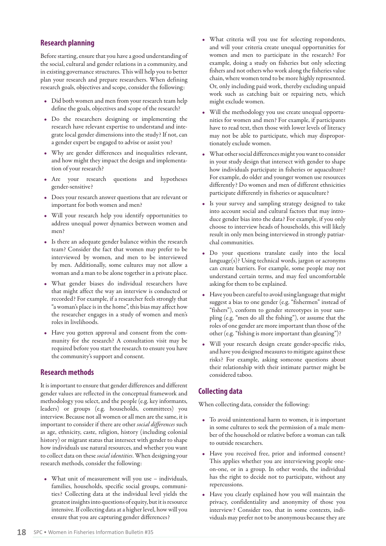# **Research planning**

Before starting, ensure that you have a good understanding of the social, cultural and gender relations in a community, and in existing governance structures. This will help you to better plan your research and prepare researchers. When defining research goals, objectives and scope, consider the following:

- Did both women and men from your research team help define the goals, objectives and scope of the research?
- Do the researchers designing or implementing the research have relevant expertise to understand and integrate local gender dimensions into the study? If not, can a gender expert be engaged to advise or assist you?
- Why are gender differences and inequalities relevant, and how might they impact the design and implementation of your research?
- Are your research questions and hypotheses gender-sensitive?
- Does your research answer questions that are relevant or important for both women and men?
- Will your research help you identify opportunities to address unequal power dynamics between women and men?
- Is there an adequate gender balance within the research team? Consider the fact that women may prefer to be interviewed by women, and men to be interviewed by men. Additionally, some cultures may not allow a woman and a man to be alone together in a private place.
- What gender biases do individual researchers have that might affect the way an interview is conducted or recorded? For example, if a researcher feels strongly that "a woman's place is in the home", this bias may affect how the researcher engages in a study of women and men's roles in livelihoods.
- Have you gotten approval and consent from the community for the research? A consultation visit may be required before you start the research to ensure you have the community's support and consent.

### **Research methods**

It is important to ensure that gender differences and different gender values are reflected in the conceptual framework and methodology you select, and the people (e.g. key informants, leaders) or groups (e.g. households, committees) you interview. Because not all women or all men are the same, it is important to consider if there are other *social differences* such as age, ethnicity, caste, religion, history (including colonial history) or migrant status that intersect with gender to shape how individuals use natural resources, and whether you want to collect data on these *social identities*. When designing your research methods, consider the following:

• What unit of measurement will you use – individuals, families, households, specific social groups, communities? Collecting data at the individual level yields the greatest insights into questions of equity, but it is resource intensive. If collecting data at a higher level, how will you ensure that you are capturing gender differences?

- What criteria will you use for selecting respondents, and will your criteria create unequal opportunities for women and men to participate in the research? For example, doing a study on fisheries but only selecting fishers and not others who work along the fisheries value chain, where women tend to be more highly represented. Or, only including paid work, thereby excluding unpaid work such as catching bait or repairing nets, which might exclude women.
- Will the methodology you use create unequal opportunities for women and men? For example, if participants have to read text, then those with lower levels of literacy may not be able to participate, which may disproportionately exclude women.
- What other social differences might you want to consider in your study design that intersect with gender to shape how individuals participate in fisheries or aquaculture? For example, do older and younger women use resources differently? Do women and men of different ethnicities participate differently in fisheries or aquaculture?
- Is your survey and sampling strategy designed to take into account social and cultural factors that may introduce gender bias into the data? For example, if you only choose to interview heads of households, this will likely result in only men being interviewed in strongly patriarchal communities.
- Do your questions translate easily into the local language(s)? Using technical words, jargon or acronyms can create barriers. For example, some people may not understand certain terms, and may feel uncomfortable asking for them to be explained.
- Have you been careful to avoid using language that might suggest a bias to one gender (e.g. "fishermen" instead of "fishers"), conform to gender stereotypes in your sampling (e.g. "men do all the fishing"), or assume that the roles of one gender are more important than those of the other (e.g. "fishing is more important than gleaning")?
- Will your research design create gender-specific risks, and have you designed measures to mitigate against these risks? For example, asking someone questions about their relationship with their intimate partner might be considered taboo.

# **Collecting data**

When collecting data, consider the following:

- To avoid unintentional harm to women, it is important in some cultures to seek the permission of a male member of the household or relative before a woman can talk to outside researchers.
- Have you received free, prior and informed consent? This applies whether you are interviewing people oneon-one, or in a group. In other words, the individual has the right to decide not to participate, without any repercussions.
- Have you clearly explained how you will maintain the privacy, confidentiality and anonymity of those you interview? Consider too, that in some contexts, individuals may prefer not to be anonymous because they are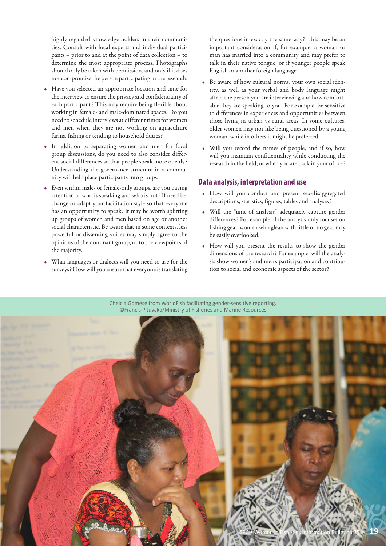highly regarded knowledge holders in their communities. Consult with local experts and individual participants – prior to and at the point of data collection – to determine the most appropriate process. Photographs should only be taken with permission, and only if it does not compromise the person participating in the research.

- Have you selected an appropriate location and time for the interview to ensure the privacy and confidentiality of each participant? This may require being flexible about working in female- and male-dominated spaces. Do you need to schedule interviews at different times for women and men when they are not working on aquaculture farms, fishing or tending to household duties?
- In addition to separating women and men for focal group discussions, do you need to also consider different social differences so that people speak more openly? Understanding the governance structure in a community will help place participants into groups.
- Even within male- or female-only groups, are you paying attention to who is speaking and who is not? If need be, change or adapt your facilitation style so that everyone has an opportunity to speak. It may be worth splitting up groups of women and men based on age or another social characteristic. Be aware that in some contexts, less powerful or dissenting voices may simply agree to the opinions of the dominant group, or to the viewpoints of the majority.
- What languages or dialects will you need to use for the surveys? How will you ensure that everyone is translating

the questions in exactly the same way? This may be an important consideration if, for example, a woman or man has married into a community and may prefer to talk in their native tongue, or if younger people speak English or another foreign language.

- Be aware of how cultural norms, your own social identity, as well as your verbal and body language might affect the person you are interviewing and how comfortable they are speaking to you. For example, be sensitive to differences in experiences and opportunities between those living in urban vs rural areas. In some cultures, older women may not like being questioned by a young woman, while in others it might be preferred.
- Will you record the names of people, and if so, how will you maintain confidentiality while conducting the research in the field, or when you are back in your office?

### **Data analysis, interpretation and use**

- How will you conduct and present sex-disaggregated descriptions, statistics, figures, tables and analyses?
- Will the "unit of analysis" adequately capture gender differences? For example, if the analysis only focuses on fishing gear, women who glean with little or no gear may be easily overlooked.
- How will you present the results to show the gender dimensions of the research? For example, will the analysis show women's and men's participation and contribution to social and economic aspects of the sector?